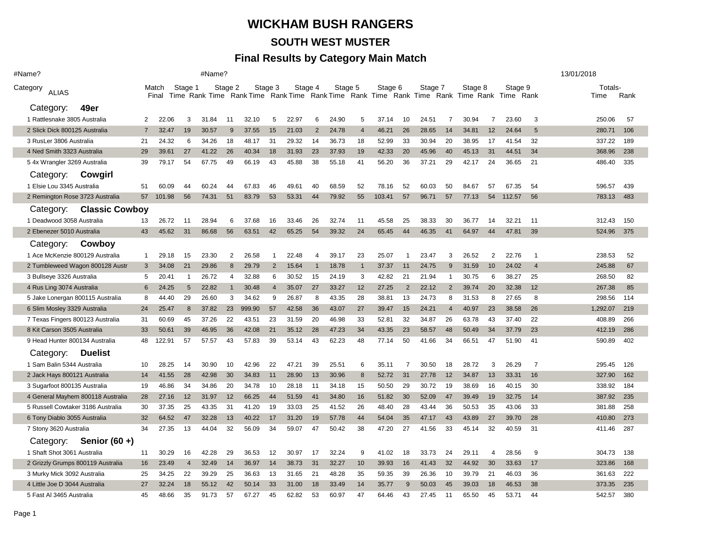## **WICKHAM BUSH RANGERS SOUTH WEST MUSTER**

## **Final Results by Category Main Match**

| #Name?                             |                | #Name? |                |       |                |        |                |         |                |         |                |         |    |                                                                                           |                |         |                | 13/01/2018 |                |          |      |
|------------------------------------|----------------|--------|----------------|-------|----------------|--------|----------------|---------|----------------|---------|----------------|---------|----|-------------------------------------------------------------------------------------------|----------------|---------|----------------|------------|----------------|----------|------|
| Category<br><b>ALIAS</b>           |                | Match  | Stage 1        |       | Stage 2        |        | Stage 3        | Stage 4 |                | Stage 5 |                | Stage 6 |    | Stage 7                                                                                   |                | Stage 8 |                | Stage 9    |                | Totals-  |      |
|                                    |                | Final  |                |       |                |        |                |         |                |         |                |         |    | Time Rank Time Rank Time Rank Time Rank Time Rank Time Rank Time Rank Time Rank Time Rank |                |         |                |            |                | Time     | Rank |
| Category:<br>49er                  |                |        |                |       |                |        |                |         |                |         |                |         |    |                                                                                           |                |         |                |            |                |          |      |
| 1 Rattlesnake 3805 Australia       | 2              | 22.06  | 3              | 31.84 | 11             | 32.10  | 5              | 22.97   | 6              | 24.90   | 5              | 37.14   | 10 | 24.51                                                                                     | 7              | 30.94   | 7              | 23.60      | 3              | 250.06   | 57   |
| 2 Slick Dick 800125 Australia      | $\overline{7}$ | 32.47  | 19             | 30.57 | 9              | 37.55  | 15             | 21.03   | $\overline{2}$ | 24.78   | $\overline{4}$ | 46.21   | 26 | 28.65                                                                                     | 14             | 34.81   | 12             | 24.64      | 5              | 280.71   | 106  |
| 3 RusLer 3806 Australia            | 21             | 24.32  | 6              | 34.26 | 18             | 48.17  | 31             | 29.32   | 14             | 36.73   | 18             | 52.99   | 33 | 30.94                                                                                     | 20             | 38.95   | 17             | 41.54      | 32             | 337.22   | 189  |
| 4 Ned Smith 3323 Australia         | 29             | 39.61  | 27             | 41.22 | 26             | 40.34  | 18             | 31.93   | 23             | 37.93   | 19             | 42.33   | 20 | 45.96                                                                                     | 40             | 45.13   | 31             | 44.51      | 34             | 368.96   | 238  |
| 5 4x Wrangler 3269 Australia       | 39             | 79.17  | 54             | 67.75 | 49             | 66.19  | 43             | 45.88   | 38             | 55.18   | 41             | 56.20   | 36 | 37.21                                                                                     | 29             | 42.17   | 24             | 36.65      | 21             | 486.40   | 335  |
| Category:<br>Cowgirl               |                |        |                |       |                |        |                |         |                |         |                |         |    |                                                                                           |                |         |                |            |                |          |      |
| 1 Elsie Lou 3345 Australia         | 51             | 60.09  | 44             | 60.24 | 44             | 67.83  | 46             | 49.61   | 40             | 68.59   | 52             | 78.16   | 52 | 60.03                                                                                     | 50             | 84.67   | 57             | 67.35      | 54             | 596.57   | 439  |
| 2 Remington Rose 3723 Australia    | 57             | 101.98 | 56             | 74.31 | 51             | 83.79  | 53             | 53.31   | 44             | 79.92   | 55             | 103.41  | 57 | 96.71                                                                                     | 57             | 77.13   | 54             | 112.57     | 56             | 783.13   | 483  |
| <b>Classic Cowboy</b><br>Category: |                |        |                |       |                |        |                |         |                |         |                |         |    |                                                                                           |                |         |                |            |                |          |      |
| 1 Deadwood 3058 Australia          | 13             | 26.72  | 11             | 28.94 | 6              | 37.68  | 16             | 33.46   | 26             | 32.74   | 11             | 45.58   | 25 | 38.33                                                                                     | 30             | 36.77   | 14             | 32.21      | 11             | 312.43   | 150  |
| 2 Ebenezer 5010 Australia          | 43             | 45.62  | 31             | 86.68 | 56             | 63.51  | 42             | 65.25   | 54             | 39.32   | 24             | 65.45   | 44 | 46.35                                                                                     | 41             | 64.97   | 44             | 47.81      | 39             | 524.96   | 375  |
| Cowboy<br>Category:                |                |        |                |       |                |        |                |         |                |         |                |         |    |                                                                                           |                |         |                |            |                |          |      |
| 1 Ace McKenzie 800129 Australia    | -1             | 29.18  | 15             | 23.30 | $\overline{2}$ | 26.58  | 1              | 22.48   | 4              | 39.17   | 23             | 25.07   | -1 | 23.47                                                                                     | 3              | 26.52   | $\overline{2}$ | 22.76      | 1              | 238.53   | 52   |
| 2 Tumbleweed Wagon 800128 Austr    | 3              | 34.08  | 21             | 29.86 | 8              | 29.79  | $\overline{2}$ | 15.64   |                | 18.78   | $\mathbf 1$    | 37.37   | 11 | 24.75                                                                                     | 9              | 31.59   | 10             | 24.02      | $\overline{4}$ | 245.88   | 67   |
| 3 Bullseye 3326 Australia          | 5              | 20.41  | $\mathbf 1$    | 26.72 | 4              | 32.88  | 6              | 30.52   | 15             | 24.19   | 3              | 42.82   | 21 | 21.94                                                                                     | -1             | 30.75   | 6              | 38.27      | 25             | 268.50   | 82   |
| 4 Rus Ling 3074 Australia          | 6              | 24.25  | 5              | 22.82 |                | 30.48  | $\overline{4}$ | 35.07   | 27             | 33.27   | 12             | 27.25   | 2  | 22.12                                                                                     | 2              | 39.74   | 20             | 32.38      | 12             | 267.38   | 85   |
| 5 Jake Lonergan 800115 Australia   | 8              | 44.40  | 29             | 26.60 | 3              | 34.62  | 9              | 26.87   | 8              | 43.35   | 28             | 38.81   | 13 | 24.73                                                                                     | 8              | 31.53   | 8              | 27.65      | 8              | 298.56   | 114  |
| 6 Slim Mosley 3329 Australia       | 24             | 25.47  | 8              | 37.82 | 23             | 999.90 | 57             | 42.58   | 36             | 43.07   | 27             | 39.47   | 15 | 24.21                                                                                     | $\overline{4}$ | 40.97   | 23             | 38.58      | 26             | 1,292.07 | 219  |
| 7 Texas Fingers 800123 Australia   | 31             | 60.69  | 45             | 37.26 | 22             | 43.51  | 23             | 31.59   | 20             | 46.98   | 33             | 52.81   | 32 | 34.87                                                                                     | 26             | 63.78   | 43             | 37.40      | 22             | 408.89   | 266  |
| 8 Kit Carson 3505 Australia        | 33             | 50.61  | 39             | 46.95 | 36             | 42.08  | 21             | 35.12   | 28             | 47.23   | 34             | 43.35   | 23 | 58.57                                                                                     | 48             | 50.49   | 34             | 37.79      | 23             | 412.19   | 286  |
| 9 Head Hunter 800134 Australia     | 48             | 122.91 | 57             | 57.57 | 43             | 57.83  | 39             | 53.14   | 43             | 62.23   | 48             | 77.14   | 50 | 41.66                                                                                     | 34             | 66.51   | 47             | 51.90      | 41             | 590.89   | 402  |
| Category:<br><b>Duelist</b>        |                |        |                |       |                |        |                |         |                |         |                |         |    |                                                                                           |                |         |                |            |                |          |      |
| 1 Sam Balin 5344 Australia         | 10             | 28.25  | 14             | 30.90 | 10             | 42.96  | 22             | 47.21   | 39             | 25.51   | 6              | 35.11   | 7  | 30.50                                                                                     | 18             | 28.72   | 3              | 26.29      | $\overline{7}$ | 295.45   | 126  |
| 2 Jack Hays 800121 Australia       | 14             | 41.55  | 28             | 42.98 | 30             | 34.83  | 11             | 28.90   | 13             | 30.96   | 8              | 52.72   | 31 | 27.78                                                                                     | 12             | 34.87   | 13             | 33.31      | 16             | 327.90   | 162  |
| 3 Sugarfoot 800135 Australia       | 19             | 46.86  | 34             | 34.86 | 20             | 34.78  | 10             | 28.18   | 11             | 34.18   | 15             | 50.50   | 29 | 30.72                                                                                     | 19             | 38.69   | 16             | 40.15      | 30             | 338.92   | 184  |
| 4 General Mayhem 800118 Australia  | 28             | 27.16  | 12             | 31.97 | 12             | 66.25  | 44             | 51.59   | 41             | 34.80   | 16             | 51.82   | 30 | 52.09                                                                                     | 47             | 39.49   | 19             | 32.75      | 14             | 387.92   | 235  |
| 5 Russell Cowtaker 3186 Australia  | 30             | 37.35  | 25             | 43.35 | 31             | 41.20  | 19             | 33.03   | 25             | 41.52   | 26             | 48.40   | 28 | 43.44                                                                                     | 36             | 50.53   | 35             | 43.06      | 33             | 381.88   | 258  |
| 6 Tony Diablo 3055 Australia       | 32             | 64.52  | 47             | 32.28 | 13             | 40.22  | 17             | 31.20   | 19             | 57.78   | 44             | 54.04   | 35 | 47.17                                                                                     | 43             | 43.89   | 27             | 39.70      | 28             | 410.80   | 273  |
| 7 Stony 3620 Australia             | 34             | 27.35  | 13             | 44.04 | 32             | 56.09  | 34             | 59.07   | 47             | 50.42   | 38             | 47.20   | 27 | 41.56                                                                                     | 33             | 45.14   | 32             | 40.59      | 31             | 411.46   | 287  |
| Senior $(60 +)$<br>Category:       |                |        |                |       |                |        |                |         |                |         |                |         |    |                                                                                           |                |         |                |            |                |          |      |
| 1 Shaft Shot 3061 Australia        | 11             | 30.29  | 16             | 42.28 | 29             | 36.53  | 12             | 30.97   | 17             | 32.24   | 9              | 41.02   | 18 | 33.73                                                                                     | 24             | 29.11   | $\overline{4}$ | 28.56      | 9              | 304.73   | 138  |
| 2 Grizzly Grumps 800119 Australia  | 16             | 23.49  | $\overline{4}$ | 32.49 | 14             | 36.97  | 14             | 38.73   | 31             | 32.27   | 10             | 39.93   | 16 | 41.43                                                                                     | 32             | 44.92   | 30             | 33.63      | 17             | 323.86   | 168  |
| 3 Murky Mick 3092 Australia        | 25             | 34.25  | 22             | 39.29 | 25             | 36.63  | 13             | 31.65   | 21             | 48.28   | 35             | 59.35   | 39 | 26.36                                                                                     | 10             | 39.79   | 21             | 46.03      | 36             | 361.63   | 222  |
| 4 Little Joe D 3044 Australia      | 27             | 32.24  | 18             | 55.12 | 42             | 50.14  | 33             | 31.00   | 18             | 33.49   | 14             | 35.77   | 9  | 50.03                                                                                     | 45             | 39.03   | 18             | 46.53      | 38             | 373.35   | 235  |
| 5 Fast Al 3465 Australia           | 45             | 48.66  | 35             | 91.73 | 57             | 67.27  | 45             | 62.82   | 53             | 60.97   | 47             | 64.46   | 43 | 27.45                                                                                     | 11             | 65.50   | 45             | 53.71      | 44             | 542.57   | 380  |